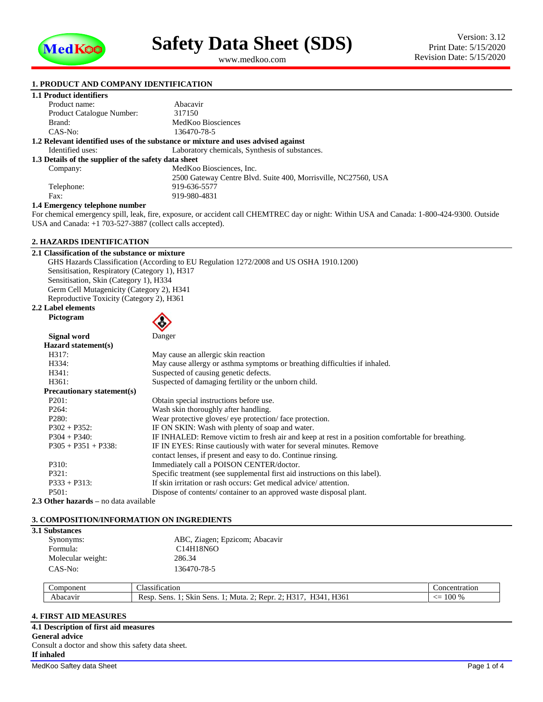

<span id="page-0-1"></span><span id="page-0-0"></span>www.medkoo.com

### **1. PRODUCT AND COMPANY IDENTIFICATION**

## **1.1 Product identifiers**

| Product name:                                        | Abacavir                                                                          |
|------------------------------------------------------|-----------------------------------------------------------------------------------|
| Product Catalogue Number:                            | 317150                                                                            |
| Brand:                                               | MedKoo Biosciences                                                                |
| CAS-No:                                              | 136470-78-5                                                                       |
|                                                      | 1.2 Relevant identified uses of the substance or mixture and uses advised against |
| Identified uses:                                     | Laboratory chemicals, Synthesis of substances.                                    |
| 1.3 Details of the supplier of the safety data sheet |                                                                                   |
| Company:                                             | MedKoo Biosciences, Inc.                                                          |
|                                                      | 2500 Gateway Centre Blvd. Suite 400, Morrisville, NC27560, USA                    |
| Telephone:                                           | 919-636-5577                                                                      |
| Fax:                                                 | 919-980-4831                                                                      |
| 1 1 Emergency telephone number                       |                                                                                   |

#### **1.4 Emergency telephone number**

For chemical emergency spill, leak, fire, exposure, or accident call CHEMTREC day or night: Within USA and Canada: 1-800-424-9300. Outside USA and Canada: +1 703-527-3887 (collect calls accepted).

### **2. HAZARDS IDENTIFICATION**

**2.1 Classification of the substance or mixture** GHS Hazards Classification (According to EU Regulation 1272/2008 and US OSHA 1910.1200) Sensitisation, Respiratory (Category 1), H317 Sensitisation, Skin (Category 1), H334 Germ Cell Mutagenicity (Category 2), H341 Reproductive Toxicity (Category 2), H361 **2.2 Label elements**

# **Pictogram**



| Signal word                | Danger                                                                                           |
|----------------------------|--------------------------------------------------------------------------------------------------|
| Hazard statement(s)        |                                                                                                  |
| H317:                      | May cause an allergic skin reaction                                                              |
| H334:                      | May cause allergy or asthma symptoms or breathing difficulties if inhaled.                       |
| H341:                      | Suspected of causing genetic defects.                                                            |
| H <sub>361</sub> :         | Suspected of damaging fertility or the unborn child.                                             |
| Precautionary statement(s) |                                                                                                  |
| P201:                      | Obtain special instructions before use.                                                          |
| P <sub>264</sub> :         | Wash skin thoroughly after handling.                                                             |
| P280:                      | Wear protective gloves/ eye protection/ face protection.                                         |
| $P302 + P352$ :            | IF ON SKIN: Wash with plenty of soap and water.                                                  |
| $P304 + P340$ :            | IF INHALED: Remove victim to fresh air and keep at rest in a position comfortable for breathing. |
| $P305 + P351 + P338$ :     | IF IN EYES: Rinse cautiously with water for several minutes. Remove                              |
|                            | contact lenses, if present and easy to do. Continue rinsing.                                     |
| P310:                      | Immediately call a POISON CENTER/doctor.                                                         |
| P321:                      | Specific treatment (see supplemental first aid instructions on this label).                      |
| $P333 + P313$ :            | If skin irritation or rash occurs: Get medical advice/attention.                                 |
| P501:                      | Dispose of contents/container to an approved waste disposal plant.                               |

**2.3 Other hazards –** no data available

#### **3. COMPOSITION/INFORMATION ON INGREDIENTS**

#### **3.1 Substances**

| ABC, Ziagen; Epzicom; Abacavir<br>C14H18N6O |
|---------------------------------------------|
| 286.34                                      |
| 136470-78-5                                 |
|                                             |

| voneni<br>$\cdots$ | . .<br>$\sim$<br>Aassi:<br>$\sim$<br>zн<br>191                                                                      | ation.<br>nn.                    |
|--------------------|---------------------------------------------------------------------------------------------------------------------|----------------------------------|
|                    | TT <sub>0</sub><br>$- - -$<br><b>TTO</b><br>. .<br>Sens.<br>sens<br>)∙ Renr<br>Resp<br>.skir<br>Muta<br>L30 I<br>≺⊿ | $00\%$<br><u>_</u><br>$-$<br>ινν |

## **4. FIRST AID MEASURES**

MedKoo Saftey data Sheet Page 1 of 4 **4.1 Description of first aid measures General advice** Consult a doctor and show this safety data sheet. **If inhaled**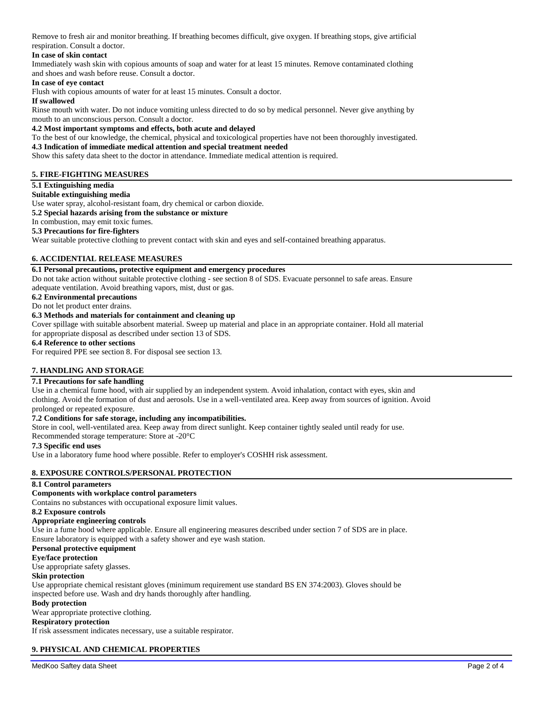Remove to fresh air and monitor breathing. If breathing becomes difficult, give oxygen. If breathing stops, give artificial respiration. Consult a doctor.

## **In case of skin contact**

Immediately wash skin with copious amounts of soap and water for at least 15 minutes. Remove contaminated clothing and shoes and wash before reuse. Consult a doctor.

#### **In case of eye contact**

Flush with copious amounts of water for at least 15 minutes. Consult a doctor.

#### **If swallowed**

Rinse mouth with water. Do not induce vomiting unless directed to do so by medical personnel. Never give anything by mouth to an unconscious person. Consult a doctor.

#### **4.2 Most important symptoms and effects, both acute and delayed**

To the best of our knowledge, the chemical, physical and toxicological properties have not been thoroughly investigated.

#### **4.3 Indication of immediate medical attention and special treatment needed**

Show this safety data sheet to the doctor in attendance. Immediate medical attention is required.

## **5. FIRE-FIGHTING MEASURES**

#### **5.1 Extinguishing media**

#### **Suitable extinguishing media**

Use water spray, alcohol-resistant foam, dry chemical or carbon dioxide.

**5.2 Special hazards arising from the substance or mixture**

#### In combustion, may emit toxic fumes. **5.3 Precautions for fire-fighters**

Wear suitable protective clothing to prevent contact with skin and eyes and self-contained breathing apparatus.

## **6. ACCIDENTIAL RELEASE MEASURES**

### **6.1 Personal precautions, protective equipment and emergency procedures**

Do not take action without suitable protective clothing - see section 8 of SDS. Evacuate personnel to safe areas. Ensure adequate ventilation. Avoid breathing vapors, mist, dust or gas.

**6.2 Environmental precautions**

Do not let product enter drains.

## **6.3 Methods and materials for containment and cleaning up**

Cover spillage with suitable absorbent material. Sweep up material and place in an appropriate container. Hold all material for appropriate disposal as described under section 13 of SDS.

#### **6.4 Reference to other sections**

For required PPE see section 8. For disposal see section 13.

## **7. HANDLING AND STORAGE**

### **7.1 Precautions for safe handling**

Use in a chemical fume hood, with air supplied by an independent system. Avoid inhalation, contact with eyes, skin and clothing. Avoid the formation of dust and aerosols. Use in a well-ventilated area. Keep away from sources of ignition. Avoid prolonged or repeated exposure.

### **7.2 Conditions for safe storage, including any incompatibilities.**

Store in cool, well-ventilated area. Keep away from direct sunlight. Keep container tightly sealed until ready for use.

Recommended storage temperature: Store at -20°C

## **7.3 Specific end uses**

Use in a laboratory fume hood where possible. Refer to employer's COSHH risk assessment.

## **8. EXPOSURE CONTROLS/PERSONAL PROTECTION**

#### **8.1 Control parameters**

## **Components with workplace control parameters**

Contains no substances with occupational exposure limit values.

#### **8.2 Exposure controls**

#### **Appropriate engineering controls**

Use in a fume hood where applicable. Ensure all engineering measures described under section 7 of SDS are in place. Ensure laboratory is equipped with a safety shower and eye wash station.

## **Personal protective equipment**

**Eye/face protection**

Use appropriate safety glasses.

#### **Skin protection**

Use appropriate chemical resistant gloves (minimum requirement use standard BS EN 374:2003). Gloves should be inspected before use. Wash and dry hands thoroughly after handling.

# **Body protection**

Wear appropriate protective clothing.

## **Respiratory protection**

If risk assessment indicates necessary, use a suitable respirator.

## **9. PHYSICAL AND CHEMICAL PROPERTIES**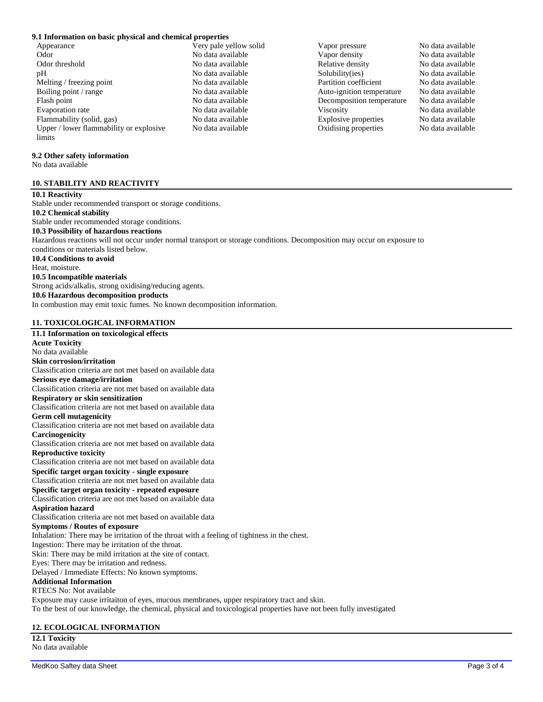## **9.1 Information on basic physical and chemical properties**

- Appearance a very pale yellow solid Vapor pressure No data available Odor **No data available** No data available Vapor density No data available No data available Odor threshold No data available No data available<br>
No data available<br>
No data available<br>
No data available<br>
No data available<br>
No data available<br>
No data available<br>
No data available<br>
No data available<br>
No data available<br> Melting / freezing point No data available Partition coefficient No data available Boiling point / range  $\blacksquare$  No data available  $\blacksquare$  Auto-ignition temperature No data available Flash point No data available Decomposition temperature No data available Evaporation rate No data available Viscosity No data available Flammability (solid, gas) No data available Explosive properties No data available Upper / lower flammability or explosive limits
	-
	- No data available Solubility(ies) No data available No data available Oxidising properties No data available

## **9.2 Other safety information**

No data available

## **10. STABILITY AND REACTIVITY**

**10.1 Reactivity** Stable under recommended transport or storage conditions. **10.2 Chemical stability** Stable under recommended storage conditions. **10.3 Possibility of hazardous reactions** Hazardous reactions will not occur under normal transport or storage conditions. Decomposition may occur on exposure to conditions or materials listed below. **10.4 Conditions to avoid** Heat, moisture. **10.5 Incompatible materials** Strong acids/alkalis, strong oxidising/reducing agents. **10.6 Hazardous decomposition products** In combustion may emit toxic fumes. No known decomposition information.

# **11. TOXICOLOGICAL INFORMATION**

**11.1 Information on toxicological effects Acute Toxicity** No data available **Skin corrosion/irritation** Classification criteria are not met based on available data **Serious eye damage/irritation** Classification criteria are not met based on available data **Respiratory or skin sensitization** Classification criteria are not met based on available data **Germ cell mutagenicity** Classification criteria are not met based on available data **Carcinogenicity** Classification criteria are not met based on available data **Reproductive toxicity** Classification criteria are not met based on available data **Specific target organ toxicity - single exposure** Classification criteria are not met based on available data **Specific target organ toxicity - repeated exposure** Classification criteria are not met based on available data **Aspiration hazard** Classification criteria are not met based on available data **Symptoms / Routes of exposure** Inhalation: There may be irritation of the throat with a feeling of tightness in the chest. Ingestion: There may be irritation of the throat. Skin: There may be mild irritation at the site of contact. Eyes: There may be irritation and redness. Delayed / Immediate Effects: No known symptoms. **Additional Information** RTECS No: Not available Exposure may cause irritaiton of eyes, mucous membranes, upper respiratory tract and skin. To the best of our knowledge, the chemical, physical and toxicological properties have not been fully investigated

## **12. ECOLOGICAL INFORMATION**

**12.1 Toxicity** No data available